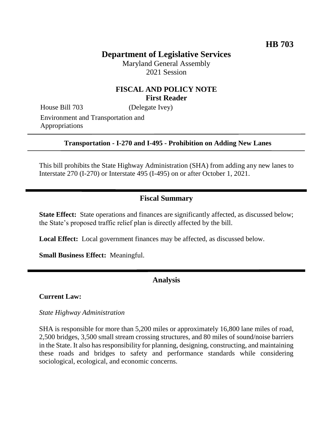# **Department of Legislative Services**

Maryland General Assembly 2021 Session

## **FISCAL AND POLICY NOTE First Reader**

House Bill 703 (Delegate Ivey)

Environment and Transportation and Appropriations

#### **Transportation - I-270 and I-495 - Prohibition on Adding New Lanes**

This bill prohibits the State Highway Administration (SHA) from adding any new lanes to Interstate 270 (I-270) or Interstate 495 (I-495) on or after October 1, 2021.

## **Fiscal Summary**

**State Effect:** State operations and finances are significantly affected, as discussed below; the State's proposed traffic relief plan is directly affected by the bill.

**Local Effect:** Local government finances may be affected, as discussed below.

**Small Business Effect:** Meaningful.

#### **Analysis**

#### **Current Law:**

*State Highway Administration*

SHA is responsible for more than 5,200 miles or approximately 16,800 lane miles of road, 2,500 bridges, 3,500 small stream crossing structures, and 80 miles of sound/noise barriers in the State. It also has responsibility for planning, designing, constructing, and maintaining these roads and bridges to safety and performance standards while considering sociological, ecological, and economic concerns.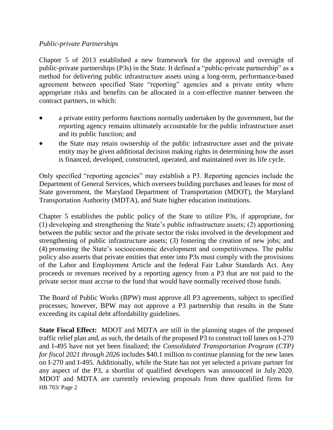#### *Public-private Partnerships*

Chapter 5 of 2013 established a new framework for the approval and oversight of public-private partnerships (P3s) in the State. It defined a "public-private partnership" as a method for delivering public infrastructure assets using a long-term, performance-based agreement between specified State "reporting" agencies and a private entity where appropriate risks and benefits can be allocated in a cost-effective manner between the contract partners, in which:

- a private entity performs functions normally undertaken by the government, but the reporting agency remains ultimately accountable for the public infrastructure asset and its public function; and
- the State may retain ownership of the public infrastructure asset and the private entity may be given additional decision making rights in determining how the asset is financed, developed, constructed, operated, and maintained over its life cycle.

Only specified "reporting agencies" may establish a P3. Reporting agencies include the Department of General Services, which oversees building purchases and leases for most of State government, the Maryland Department of Transportation (MDOT), the Maryland Transportation Authority (MDTA), and State higher education institutions.

Chapter 5 establishes the public policy of the State to utilize P3s, if appropriate, for (1) developing and strengthening the State's public infrastructure assets; (2) apportioning between the public sector and the private sector the risks involved in the development and strengthening of public infrastructure assets; (3) fostering the creation of new jobs; and (4) promoting the State's socioeconomic development and competitiveness. The public policy also asserts that private entities that enter into P3s must comply with the provisions of the Labor and Employment Article and the federal Fair Labor Standards Act. Any proceeds or revenues received by a reporting agency from a P3 that are not paid to the private sector must accrue to the fund that would have normally received those funds.

The Board of Public Works (BPW) must approve all P3 agreements, subject to specified processes; however, BPW may not approve a P3 partnership that results in the State exceeding its capital debt affordability guidelines.

HB 703/ Page 2 **State Fiscal Effect:** MDOT and MDTA are still in the planning stages of the proposed traffic relief plan and, as such, the details of the proposed P3 to construct toll lanes on I-270 and I-495 have not yet been finalized; the *Consolidated Transportation Program (CTP) for fiscal 2021 through 2026* includes \$40.1 million to continue planning for the new lanes on I-270 and I-495. Additionally, while the State has not yet selected a private partner for any aspect of the P3, a shortlist of qualified developers was announced in July 2020. MDOT and MDTA are currently reviewing proposals from three qualified firms for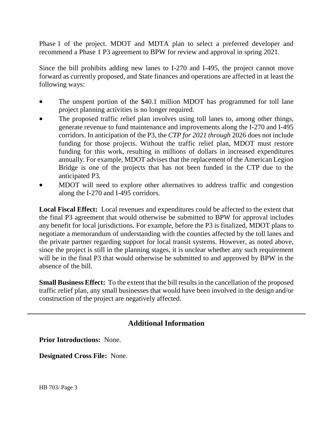Phase 1 of the project. MDOT and MDTA plan to select a preferred developer and recommend a Phase 1 P3 agreement to BPW for review and approval in spring 2021.

Since the bill prohibits adding new lanes to I-270 and I-495, the project cannot move forward as currently proposed, and State finances and operations are affected in at least the following ways:

- The unspent portion of the \$40.1 million MDOT has programmed for toll lane project planning activities is no longer required.
- The proposed traffic relief plan involves using toll lanes to, among other things, generate revenue to fund maintenance and improvements along the I-270 and I-495 corridors. In anticipation of the P3, the *CTP for 2021 through* 2026 does not include funding for those projects. Without the traffic relief plan, MDOT must restore funding for this work, resulting in millions of dollars in increased expenditures annually. For example, MDOT advises that the replacement of the American Legion Bridge is one of the projects that has not been funded in the CTP due to the anticipated P3.
- MDOT will need to explore other alternatives to address traffic and congestion along the I-270 and I-495 corridors.

**Local Fiscal Effect:** Local revenues and expenditures could be affected to the extent that the final P3 agreement that would otherwise be submitted to BPW for approval includes any benefit for local jurisdictions. For example, before the P3 is finalized, MDOT plans to negotiate a memorandum of understanding with the counties affected by the toll lanes and the private partner regarding support for local transit systems. However, as noted above, since the project is still in the planning stages, it is unclear whether any such requirement will be in the final P3 that would otherwise be submitted to and approved by BPW in the absence of the bill.

**Small Business Effect:** To the extent that the bill results in the cancellation of the proposed traffic relief plan, any small businesses that would have been involved in the design and/or construction of the project are negatively affected.

## **Additional Information**

**Prior Introductions:** None.

**Designated Cross File:** None.